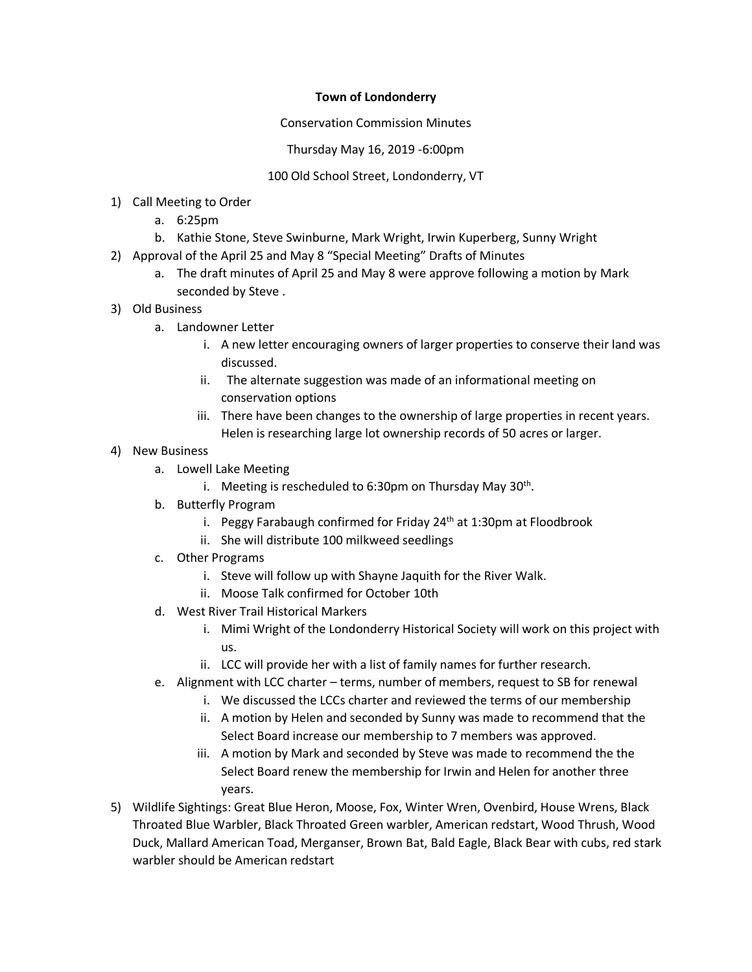## **Town of Londonderry**

Conservation Commission Minutes

Thursday May 16, 2019 -6:00pm

## 100 Old School Street, Londonderry, VT

- 1) Call Meeting to Order
	- a. 6:25pm
	- b. Kathie Stone, Steve Swinburne, Mark Wright, Irwin Kuperberg, Sunny Wright
- 2) Approval of the April 25 and May 8 "Special Meeting" Drafts of Minutes
	- a. The draft minutes of April 25 and May 8 were approve following a motion by Mark seconded by Steve .
- 3) Old Business
	- a. Landowner Letter
		- i. A new letter encouraging owners of larger properties to conserve their land was discussed.
		- ii. The alternate suggestion was made of an informational meeting on conservation options
		- iii. There have been changes to the ownership of large properties in recent years. Helen is researching large lot ownership records of 50 acres or larger.
- 4) New Business
	- a. Lowell Lake Meeting
		- i. Meeting is rescheduled to 6:30pm on Thursday May 30<sup>th</sup>.
	- b. Butterfly Program
		- i. Peggy Farabaugh confirmed for Friday  $24<sup>th</sup>$  at 1:30pm at Floodbrook
		- ii. She will distribute 100 milkweed seedlings
	- c. Other Programs
		- i. Steve will follow up with Shayne Jaquith for the River Walk.
		- ii. Moose Talk confirmed for October 10th
	- d. West River Trail Historical Markers
		- i. Mimi Wright of the Londonderry Historical Society will work on this project with us.
		- ii. LCC will provide her with a list of family names for further research.
	- e. Alignment with LCC charter terms, number of members, request to SB for renewal
		- i. We discussed the LCCs charter and reviewed the terms of our membership
		- ii. A motion by Helen and seconded by Sunny was made to recommend that the Select Board increase our membership to 7 members was approved.
		- iii. A motion by Mark and seconded by Steve was made to recommend the the Select Board renew the membership for Irwin and Helen for another three years.
- 5) Wildlife Sightings: Great Blue Heron, Moose, Fox, Winter Wren, Ovenbird, House Wrens, Black Throated Blue Warbler, Black Throated Green warbler, American redstart, Wood Thrush, Wood Duck, Mallard American Toad, Merganser, Brown Bat, Bald Eagle, Black Bear with cubs, red stark warbler should be American redstart